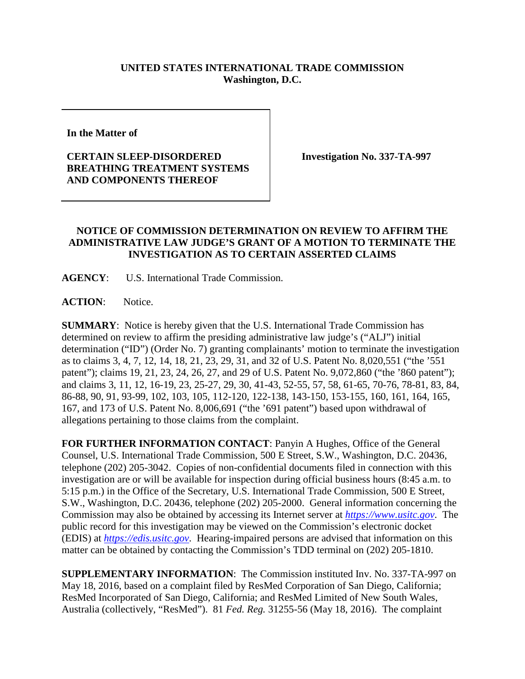## **UNITED STATES INTERNATIONAL TRADE COMMISSION Washington, D.C.**

**In the Matter of** 

## **CERTAIN SLEEP-DISORDERED BREATHING TREATMENT SYSTEMS AND COMPONENTS THEREOF**

**Investigation No. 337-TA-997**

## **NOTICE OF COMMISSION DETERMINATION ON REVIEW TO AFFIRM THE ADMINISTRATIVE LAW JUDGE'S GRANT OF A MOTION TO TERMINATE THE INVESTIGATION AS TO CERTAIN ASSERTED CLAIMS**

**AGENCY**: U.S. International Trade Commission.

ACTION: Notice.

**SUMMARY**: Notice is hereby given that the U.S. International Trade Commission has determined on review to affirm the presiding administrative law judge's ("ALJ") initial determination ("ID") (Order No. 7) granting complainants' motion to terminate the investigation as to claims 3, 4, 7, 12, 14, 18, 21, 23, 29, 31, and 32 of U.S. Patent No. 8,020,551 ("the '551 patent"); claims 19, 21, 23, 24, 26, 27, and 29 of U.S. Patent No. 9,072,860 ("the '860 patent"); and claims 3, 11, 12, 16-19, 23, 25-27, 29, 30, 41-43, 52-55, 57, 58, 61-65, 70-76, 78-81, 83, 84, 86-88, 90, 91, 93-99, 102, 103, 105, 112-120, 122-138, 143-150, 153-155, 160, 161, 164, 165, 167, and 173 of U.S. Patent No. 8,006,691 ("the '691 patent") based upon withdrawal of allegations pertaining to those claims from the complaint.

**FOR FURTHER INFORMATION CONTACT**: Panyin A Hughes, Office of the General Counsel, U.S. International Trade Commission, 500 E Street, S.W., Washington, D.C. 20436, telephone (202) 205-3042. Copies of non-confidential documents filed in connection with this investigation are or will be available for inspection during official business hours (8:45 a.m. to 5:15 p.m.) in the Office of the Secretary, U.S. International Trade Commission, 500 E Street, S.W., Washington, D.C. 20436, telephone (202) 205-2000. General information concerning the Commission may also be obtained by accessing its Internet server at *[https://www.usitc.gov](https://www.usitc.gov/)*. The public record for this investigation may be viewed on the Commission's electronic docket (EDIS) at *[https://edis.usitc.gov](https://edis.usitc.gov/)*. Hearing-impaired persons are advised that information on this matter can be obtained by contacting the Commission's TDD terminal on (202) 205-1810.

**SUPPLEMENTARY INFORMATION**: The Commission instituted Inv. No. 337-TA-997 on May 18, 2016, based on a complaint filed by ResMed Corporation of San Diego, California; ResMed Incorporated of San Diego, California; and ResMed Limited of New South Wales, Australia (collectively, "ResMed"). 81 *Fed. Reg.* 31255-56 (May 18, 2016). The complaint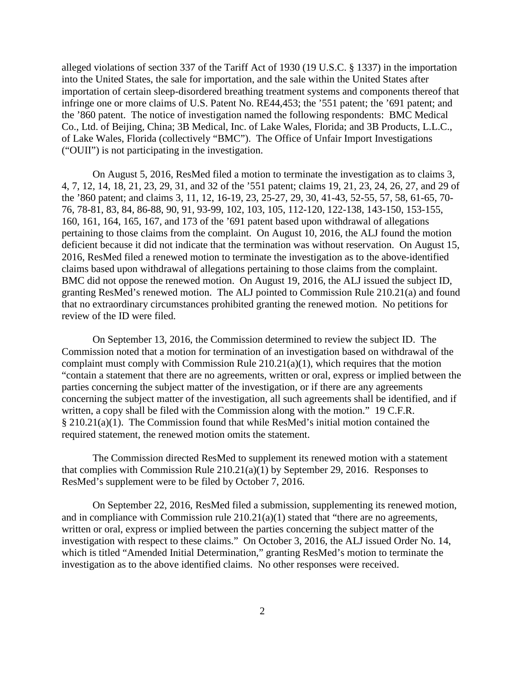alleged violations of section 337 of the Tariff Act of 1930 (19 U.S.C. § 1337) in the importation into the United States, the sale for importation, and the sale within the United States after importation of certain sleep-disordered breathing treatment systems and components thereof that infringe one or more claims of U.S. Patent No. RE44,453; the '551 patent; the '691 patent; and the '860 patent. The notice of investigation named the following respondents: BMC Medical Co., Ltd. of Beijing, China; 3B Medical, Inc. of Lake Wales, Florida; and 3B Products, L.L.C., of Lake Wales, Florida (collectively "BMC"). The Office of Unfair Import Investigations ("OUII") is not participating in the investigation.

On August 5, 2016, ResMed filed a motion to terminate the investigation as to claims 3, 4, 7, 12, 14, 18, 21, 23, 29, 31, and 32 of the '551 patent; claims 19, 21, 23, 24, 26, 27, and 29 of the '860 patent; and claims 3, 11, 12, 16-19, 23, 25-27, 29, 30, 41-43, 52-55, 57, 58, 61-65, 70- 76, 78-81, 83, 84, 86-88, 90, 91, 93-99, 102, 103, 105, 112-120, 122-138, 143-150, 153-155, 160, 161, 164, 165, 167, and 173 of the '691 patent based upon withdrawal of allegations pertaining to those claims from the complaint. On August 10, 2016, the ALJ found the motion deficient because it did not indicate that the termination was without reservation. On August 15, 2016, ResMed filed a renewed motion to terminate the investigation as to the above-identified claims based upon withdrawal of allegations pertaining to those claims from the complaint. BMC did not oppose the renewed motion. On August 19, 2016, the ALJ issued the subject ID, granting ResMed's renewed motion. The ALJ pointed to Commission Rule 210.21(a) and found that no extraordinary circumstances prohibited granting the renewed motion. No petitions for review of the ID were filed.

On September 13, 2016, the Commission determined to review the subject ID. The Commission noted that a motion for termination of an investigation based on withdrawal of the complaint must comply with Commission Rule 210.21(a)(1), which requires that the motion "contain a statement that there are no agreements, written or oral, express or implied between the parties concerning the subject matter of the investigation, or if there are any agreements concerning the subject matter of the investigation, all such agreements shall be identified, and if written, a copy shall be filed with the Commission along with the motion." 19 C.F.R. § 210.21(a)(1). The Commission found that while ResMed's initial motion contained the required statement, the renewed motion omits the statement.

The Commission directed ResMed to supplement its renewed motion with a statement that complies with Commission Rule 210.21(a)(1) by September 29, 2016. Responses to ResMed's supplement were to be filed by October 7, 2016.

On September 22, 2016, ResMed filed a submission, supplementing its renewed motion, and in compliance with Commission rule  $210.21(a)(1)$  stated that "there are no agreements, written or oral, express or implied between the parties concerning the subject matter of the investigation with respect to these claims." On October 3, 2016, the ALJ issued Order No. 14, which is titled "Amended Initial Determination," granting ResMed's motion to terminate the investigation as to the above identified claims. No other responses were received.